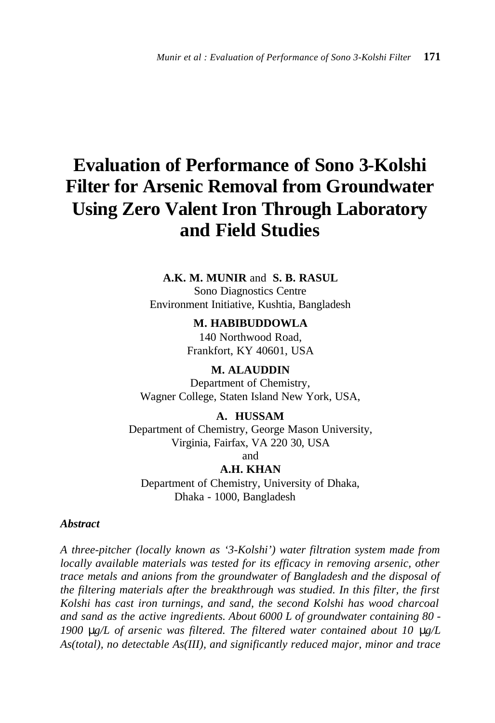# **Evaluation of Performance of Sono 3-Kolshi Filter for Arsenic Removal from Groundwater Using Zero Valent Iron Through Laboratory and Field Studies**

**A.K. M. MUNIR** and **S. B. RASUL** Sono Diagnostics Centre Environment Initiative, Kushtia, Bangladesh

> **M. HABIBUDDOWLA** 140 Northwood Road, Frankfort, KY 40601, USA

**M. ALAUDDIN** Department of Chemistry, Wagner College, Staten Island New York, USA,

**A. HUSSAM** Department of Chemistry, George Mason University, Virginia, Fairfax, VA 220 30, USA and

**A.H. KHAN**

Department of Chemistry, University of Dhaka, Dhaka - 1000, Bangladesh

# *Abstract*

*A three-pitcher (locally known as '3-Kolshi') water filtration system made from locally available materials was tested for its efficacy in removing arsenic, other trace metals and anions from the groundwater of Bangladesh and the disposal of the filtering materials after the breakthrough was studied. In this filter, the first Kolshi has cast iron turnings, and sand, the second Kolshi has wood charcoal and sand as the active ingredients. About 6000 L of groundwater containing 80 - 1900 mg/L of arsenic was filtered. The filtered water contained about 10 mg/L As(total), no detectable As(III), and significantly reduced major, minor and trace*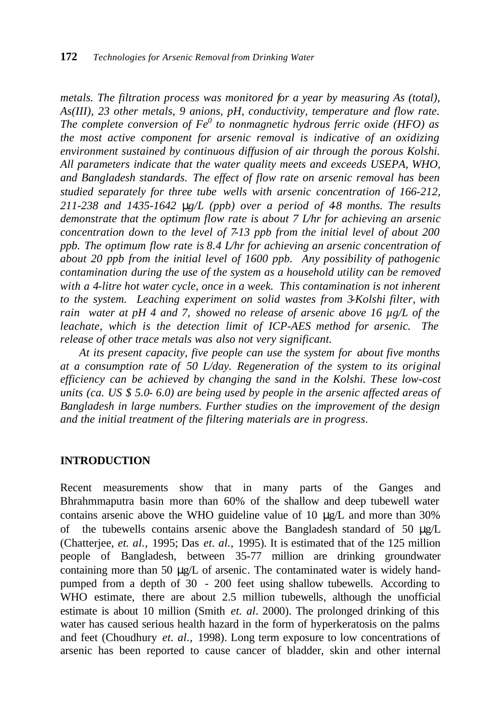*metals. The filtration process was monitored for a year by measuring As (total), As(III), 23 other metals, 9 anions, pH, conductivity, temperature and flow rate. The complete conversion of Fe<sup>0</sup> to nonmagnetic hydrous ferric oxide (HFO) as the most active component for arsenic removal is indicative of an oxidizing environment sustained by continuous diffusion of air through the porous Kolshi. All parameters indicate that the water quality meets and exceeds USEPA, WHO, and Bangladesh standards. The effect of flow rate on arsenic removal has been studied separately for three tube wells with arsenic concentration of 166-212,*   $211-238$  and  $1435-1642$  **m** $\cancel{p}$  (ppb) over a period of 48 months. The results *demonstrate that the optimum flow rate is about 7 L/hr for achieving an arsenic concentration down to the level of 7-13 ppb from the initial level of about 200 ppb. The optimum flow rate is 8.4 L/hr for achieving an arsenic concentration of about 20 ppb from the initial level of 1600 ppb. Any possibility of pathogenic contamination during the use of the system as a household utility can be removed*  with a 4-litre hot water cycle, once in a week. This contamination is not inherent *to the system. Leaching experiment on solid wastes from 3-Kolshi filter, with rain water at pH 4 and 7, showed no release of arsenic above 16 µg/L of the leachate, which is the detection limit of ICP-AES method for arsenic. The release of other trace metals was also not very significant.*

*At its present capacity, five people can use the system for about five months at a consumption rate of 50 L/day. Regeneration of the system to its original efficiency can be achieved by changing the sand in the Kolshi. These low-cost units (ca. US \$ 5.0- 6.0) are being used by people in the arsenic affected areas of Bangladesh in large numbers. Further studies on the improvement of the design and the initial treatment of the filtering materials are in progress*.

## **INTRODUCTION**

Recent measurements show that in many parts of the Ganges and Bhrahmmaputra basin more than 60% of the shallow and deep tubewell water contains arsenic above the WHO guideline value of 10 μg/L and more than 30% of the tubewells contains arsenic above the Bangladesh standard of 50 μg/L (Chatterjee, *et. al.,* 1995; Das *et. al.,* 1995). It is estimated that of the 125 million people of Bangladesh, between 35-77 million are drinking groundwater containing more than 50 μg/L of arsenic. The contaminated water is widely handpumped from a depth of 30 - 200 feet using shallow tubewells. According to WHO estimate, there are about 2.5 million tubewells, although the unofficial estimate is about 10 million (Smith *et. al*. 2000). The prolonged drinking of this water has caused serious health hazard in the form of hyperkeratosis on the palms and feet (Choudhury *et. al.,* 1998). Long term exposure to low concentrations of arsenic has been reported to cause cancer of bladder, skin and other internal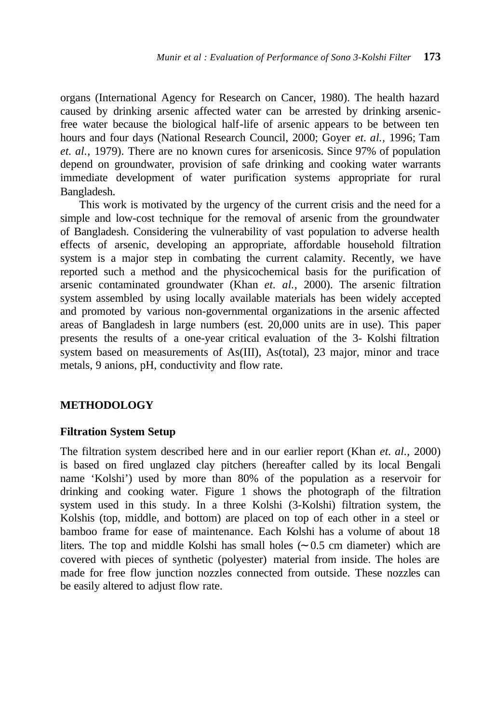organs (International Agency for Research on Cancer, 1980). The health hazard caused by drinking arsenic affected water can be arrested by drinking arsenicfree water because the biological half-life of arsenic appears to be between ten hours and four days (National Research Council, 2000; Goyer *et. al.,* 1996; Tam *et. al.,* 1979). There are no known cures for arsenicosis. Since 97% of population depend on groundwater, provision of safe drinking and cooking water warrants immediate development of water purification systems appropriate for rural Bangladesh.

This work is motivated by the urgency of the current crisis and the need for a simple and low-cost technique for the removal of arsenic from the groundwater of Bangladesh. Considering the vulnerability of vast population to adverse health effects of arsenic, developing an appropriate, affordable household filtration system is a major step in combating the current calamity. Recently, we have reported such a method and the physicochemical basis for the purification of arsenic contaminated groundwater (Khan *et. al.,* 2000). The arsenic filtration system assembled by using locally available materials has been widely accepted and promoted by various non-governmental organizations in the arsenic affected areas of Bangladesh in large numbers (est. 20,000 units are in use). This paper presents the results of a one-year critical evaluation of the 3- Kolshi filtration system based on measurements of As(III), As(total), 23 major, minor and trace metals, 9 anions, pH, conductivity and flow rate.

## **METHODOLOGY**

## **Filtration System Setup**

The filtration system described here and in our earlier report (Khan *et. al.,* 2000) is based on fired unglazed clay pitchers (hereafter called by its local Bengali name 'Kolshi') used by more than 80% of the population as a reservoir for drinking and cooking water. Figure 1 shows the photograph of the filtration system used in this study. In a three Kolshi (3-Kolshi) filtration system, the Kolshis (top, middle, and bottom) are placed on top of each other in a steel or bamboo frame for ease of maintenance. Each Kolshi has a volume of about 18 liters. The top and middle Kolshi has small holes (∼ 0.5 cm diameter) which are covered with pieces of synthetic (polyester) material from inside. The holes are made for free flow junction nozzles connected from outside. These nozzles can be easily altered to adjust flow rate.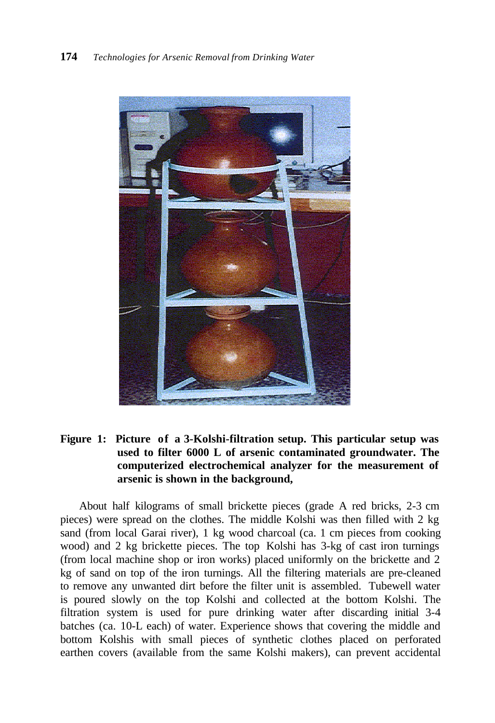

# **Figure 1: Picture of a 3-Kolshi-filtration setup. This particular setup was used to filter 6000 L of arsenic contaminated groundwater. The computerized electrochemical analyzer for the measurement of arsenic is shown in the background,**

About half kilograms of small brickette pieces (grade A red bricks, 2-3 cm pieces) were spread on the clothes. The middle Kolshi was then filled with 2 kg sand (from local Garai river), 1 kg wood charcoal (ca. 1 cm pieces from cooking wood) and 2 kg brickette pieces. The top Kolshi has 3-kg of cast iron turnings (from local machine shop or iron works) placed uniformly on the brickette and 2 kg of sand on top of the iron turnings. All the filtering materials are pre-cleaned to remove any unwanted dirt before the filter unit is assembled. Tubewell water is poured slowly on the top Kolshi and collected at the bottom Kolshi. The filtration system is used for pure drinking water after discarding initial 3-4 batches (ca. 10-L each) of water. Experience shows that covering the middle and bottom Kolshis with small pieces of synthetic clothes placed on perforated earthen covers (available from the same Kolshi makers), can prevent accidental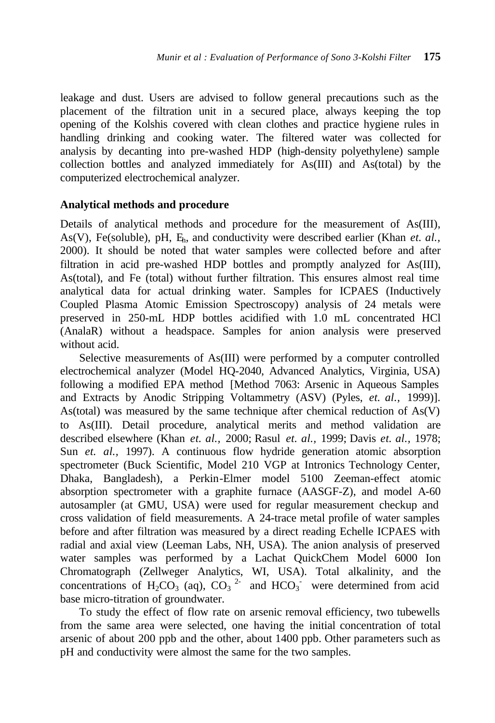leakage and dust. Users are advised to follow general precautions such as the placement of the filtration unit in a secured place, always keeping the top opening of the Kolshis covered with clean clothes and practice hygiene rules in handling drinking and cooking water. The filtered water was collected for analysis by decanting into pre-washed HDP (high-density polyethylene) sample collection bottles and analyzed immediately for As(III) and As(total) by the computerized electrochemical analyzer.

## **Analytical methods and procedure**

Details of analytical methods and procedure for the measurement of As(III), As(V), Fe(soluble), pH, Eh, and conductivity were described earlier (Khan *et. al.,*  2000). It should be noted that water samples were collected before and after filtration in acid pre-washed HDP bottles and promptly analyzed for As(III), As(total), and Fe (total) without further filtration. This ensures almost real time analytical data for actual drinking water. Samples for ICPAES (Inductively Coupled Plasma Atomic Emission Spectroscopy) analysis of 24 metals were preserved in 250-mL HDP bottles acidified with 1.0 mL concentrated HCl (AnalaR) without a headspace. Samples for anion analysis were preserved without acid.

Selective measurements of As(III) were performed by a computer controlled electrochemical analyzer (Model HQ-2040, Advanced Analytics, Virginia, USA) following a modified EPA method [Method 7063: Arsenic in Aqueous Samples and Extracts by Anodic Stripping Voltammetry (ASV) (Pyles, *et. al.,* 1999)]. As(total) was measured by the same technique after chemical reduction of As(V) to As(III). Detail procedure, analytical merits and method validation are described elsewhere (Khan *et. al.,* 2000; Rasul *et. al.,* 1999; Davis *et. al.,* 1978; Sun *et. al.,* 1997). A continuous flow hydride generation atomic absorption spectrometer (Buck Scientific, Model 210 VGP at Intronics Technology Center, Dhaka, Bangladesh), a Perkin-Elmer model 5100 Zeeman-effect atomic absorption spectrometer with a graphite furnace (AASGF-Z), and model A-60 autosampler (at GMU, USA) were used for regular measurement checkup and cross validation of field measurements. A 24-trace metal profile of water samples before and after filtration was measured by a direct reading Echelle ICPAES with radial and axial view (Leeman Labs, NH, USA). The anion analysis of preserved water samples was performed by a Lachat QuickChem Model 6000 Ion Chromatograph (Zellweger Analytics, WI, USA). Total alkalinity, and the concentrations of H<sub>2</sub>CO<sub>3</sub> (aq), CO<sub>3</sub><sup>2</sup> and HCO<sub>3</sub><sup>-</sup> were determined from acid base micro-titration of groundwater.

To study the effect of flow rate on arsenic removal efficiency, two tubewells from the same area were selected, one having the initial concentration of total arsenic of about 200 ppb and the other, about 1400 ppb. Other parameters such as pH and conductivity were almost the same for the two samples.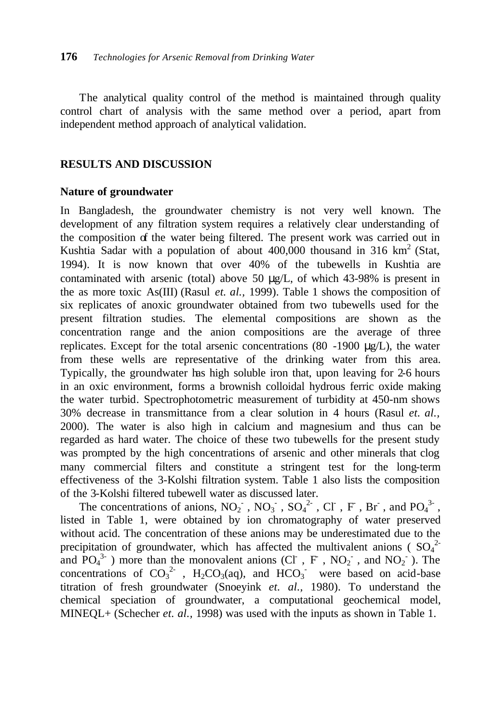The analytical quality control of the method is maintained through quality control chart of analysis with the same method over a period, apart from independent method approach of analytical validation.

# **RESULTS AND DISCUSSION**

## **Nature of groundwater**

In Bangladesh, the groundwater chemistry is not very well known. The development of any filtration system requires a relatively clear understanding of the composition of the water being filtered. The present work was carried out in Kushtia Sadar with a population of about  $400,000$  thousand in 316 km<sup>2</sup> (Stat, 1994). It is now known that over 40% of the tubewells in Kushtia are contaminated with arsenic (total) above 50  $\mu$ g/L, of which 43-98% is present in the as more toxic As(III) (Rasul *et. al.,* 1999). Table 1 shows the composition of six replicates of anoxic groundwater obtained from two tubewells used for the present filtration studies. The elemental compositions are shown as the concentration range and the anion compositions are the average of three replicates. Except for the total arsenic concentrations  $(80 -1900 \mu g/L)$ , the water from these wells are representative of the drinking water from this area. Typically, the groundwater has high soluble iron that, upon leaving for 2-6 hours in an oxic environment, forms a brownish colloidal hydrous ferric oxide making the water turbid. Spectrophotometric measurement of turbidity at 450-nm shows 30% decrease in transmittance from a clear solution in 4 hours (Rasul *et. al.,*  2000). The water is also high in calcium and magnesium and thus can be regarded as hard water. The choice of these two tubewells for the present study was prompted by the high concentrations of arsenic and other minerals that clog many commercial filters and constitute a stringent test for the long-term effectiveness of the 3-Kolshi filtration system. Table 1 also lists the composition of the 3-Kolshi filtered tubewell water as discussed later.

The concentrations of anions,  $NO_2^-$ ,  $NO_3^-$ ,  $SO_4^2^-$ , Cl, F, Br, and  $PO_4^3$ , listed in Table 1, were obtained by ion chromatography of water preserved without acid. The concentration of these anions may be underestimated due to the precipitation of groundwater, which has affected the multivalent anions ( $SO_4^2$ ) and  $\overline{PO_4}^{3-}$  ) more than the monovalent anions (CI, F, NO<sub>2</sub>, and NO<sub>2</sub>). The concentrations of  $CO_3^2$ , H<sub>2</sub>CO<sub>3</sub>(aq), and HCO<sub>3</sub> were based on acid-base titration of fresh groundwater (Snoeyink *et. al.,* 1980). To understand the chemical speciation of groundwater, a computational geochemical model, MINEQL+ (Schecher *et. al.,* 1998) was used with the inputs as shown in Table 1.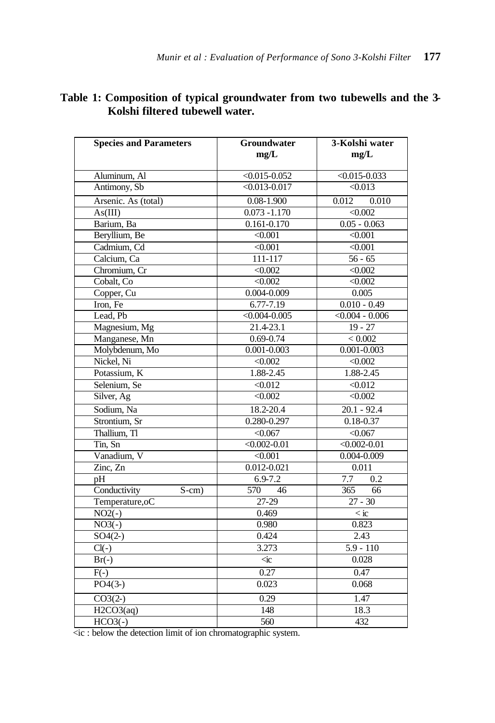# **Table 1: Composition of typical groundwater from two tubewells and the 3- Kolshi filtered tubewell water.**

| <b>Species and Parameters</b> | Groundwater<br>mg/L       | 3-Kolshi water<br>mg/L |  |
|-------------------------------|---------------------------|------------------------|--|
| Aluminum, Al                  | $<0.015 - 0.052$          | $< 0.015 - 0.033$      |  |
| Antimony, Sb                  | $\sqrt{0.013 - 0.017}$    | < 0.013                |  |
| Arsenic. As (total)           | $0.08 - 1.900$            | 0.012<br>0.010         |  |
| As(III)                       | $0.073 - 1.170$           | $\sqrt{0.002}$         |  |
| Barium, Ba                    | 0.161-0.170               | $0.05 - 0.063$         |  |
| Beryllium, Be                 | < 0.001                   | < 0.001                |  |
| Cadmium, Cd                   | < 0.001                   | < 0.001                |  |
| Calcium. Ca                   | 111-117                   | $56 - 65$              |  |
| Chromium, Cr                  | < 0.002                   | < 0.002                |  |
| Cobalt, Co                    | < 0.002                   | < 0.002                |  |
| Copper, Cu                    | $0.004 - 0.009$           | 0.005                  |  |
| Iron, Fe                      | $6.77 - 7.19$             | $0.010 - 0.49$         |  |
| Lead, Pb                      | $< 0.004 - 0.005$         | $\sqrt{0.004 - 0.006}$ |  |
| Magnesium, Mg                 | 21.4-23.1                 | $19 - 27$              |  |
| Manganese, Mn                 | $0.69 - 0.74$             | < 0.002                |  |
| Molybdenum, Mo                | $0.001 - 0.003$           | $0.001 - 0.003$        |  |
| Nickel, Ni                    | < 0.002                   | <0.002                 |  |
| Potassium, K                  | 1.88-2.45                 | 1.88-2.45              |  |
| Selenium, Se                  | < 0.012                   | < 0.012                |  |
| Silver, Ag                    | $\sqrt{0.002}$            | $\sqrt{0.002}$         |  |
| Sodium, Na                    | 18.2-20.4                 | $20.1 - 92.4$          |  |
| Strontium, Sr                 | $0.\overline{280-0.297}$  | $0.18 - 0.37$          |  |
| Thallium, Tl                  | < 0.067                   | $\sqrt{0.067}$         |  |
| Tin, Sn                       | $<0.002 - 0.01$           | $<0.002 - 0.01$        |  |
| Vanadium, V                   | < 0.001                   | $0.004 - 0.009$        |  |
| Zinc, Zn                      | $0.012 - 0.021$           | 0.011                  |  |
| pH                            | $6.9 - 7.2$               | 7.7<br>0.2             |  |
| Conductivity<br>$S-cm$ )      | 570<br>46                 | 365<br>66              |  |
| Temperature, oC               | $27-29$                   | $27 - 30$              |  |
| $NO2(-)$                      | 0.469                     | $\langle$ ic           |  |
| $NO3(-)$                      | 0.980                     | 0.823                  |  |
| $SO4(2-)$                     | 0.424                     | 2.43                   |  |
| $Cl(-)$                       | 3.273                     | $5.9 - 110$            |  |
| $\overline{Br(-)}$            | $\dot{\vartriangleleft}c$ | 0.028                  |  |
| $\overline{F(-)}$             | 0.27                      | 0.47                   |  |
| $PO4(3-)$                     | 0.023                     | 0.068                  |  |
| $CO3(2-)$                     | 0.29                      | 1.47                   |  |
| H2CO3(aq)                     | 148                       | 18.3                   |  |
| $HCO3(-)$                     | 560                       | 432                    |  |

 $\overline{\text{cic}}$ : below the detection limit of ion chromatographic system.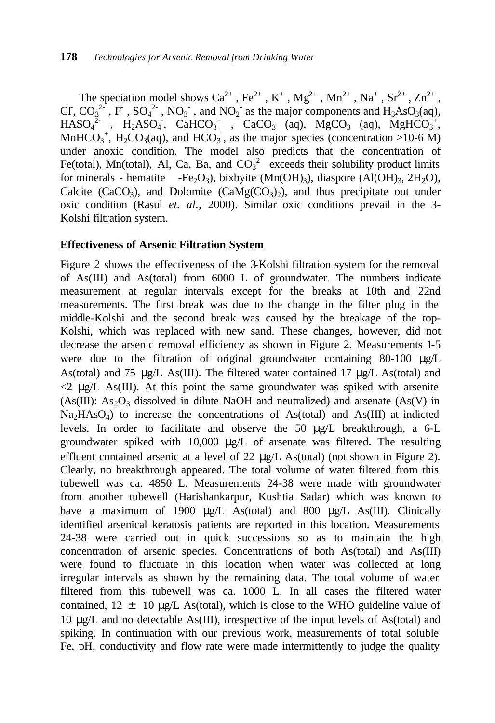The speciation model shows  $Ca^{2+}$ ,  $Fe^{2+}$ ,  $K^+$ ,  $Mg^{2+}$ ,  $Mn^{2+}$ ,  $Na^+$ ,  $Sr^{2+}$ ,  $Zn^{2+}$ , CI,  $CO_3^{2.}$ , F,  $SO_4^{2.}$ ,  $NO_3^{2.}$ , and  $NO_2^{2.}$  as the major components and  $H_3AsO_3(aq)$ ,  $HASO<sub>4</sub><sup>2</sup>$ , H<sub>2</sub>ASO<sub>4</sub>, CaHCO<sub>3</sub><sup>+</sup>, CaCO<sub>3</sub> (aq), MgCO<sub>3</sub> (aq), MgHCO<sub>3</sub><sup>+</sup>, MnHCO<sub>3</sub><sup>+</sup>, H<sub>2</sub>CO<sub>3</sub>(aq), and HCO<sub>3</sub><sup>-</sup>, as the major species (concentration >10-6 M) under anoxic condition. The model also predicts that the concentration of Fe(total), Mn(total), Al, Ca, Ba, and  $CO_3^2$  exceeds their solubility product limits for minerals - hematite -Fe<sub>2</sub>O<sub>3</sub>), bixbyite (Mn(OH)<sub>3</sub>), diaspore (Al(OH)<sub>3</sub>, 2H<sub>2</sub>O), Calcite (CaCO<sub>3</sub>), and Dolomite (CaMg(CO<sub>3</sub>)<sub>2</sub>), and thus precipitate out under oxic condition (Rasul *et. al.,* 2000). Similar oxic conditions prevail in the 3- Kolshi filtration system.

## **Effectiveness of Arsenic Filtration System**

Figure 2 shows the effectiveness of the 3-Kolshi filtration system for the removal of As(III) and As(total) from 6000 L of groundwater. The numbers indicate measurement at regular intervals except for the breaks at 10th and 22nd measurements. The first break was due to the change in the filter plug in the middle-Kolshi and the second break was caused by the breakage of the top-Kolshi, which was replaced with new sand. These changes, however, did not decrease the arsenic removal efficiency as shown in Figure 2. Measurements 1-5 were due to the filtration of original groundwater containing 80-100 μg/L As(total) and 75 μg/L As(III). The filtered water contained 17 μg/L As(total) and  $\leq$  2 μg/L As(III). At this point the same groundwater was spiked with arsenite (As(III):  $As_2O_3$  dissolved in dilute NaOH and neutralized) and arsenate (As(V) in  $Na<sub>2</sub>HAsO<sub>4</sub>$ ) to increase the concentrations of As(total) and As(III) at indicted levels. In order to facilitate and observe the 50 μg/L breakthrough, a 6-L groundwater spiked with 10,000 μg/L of arsenate was filtered. The resulting effluent contained arsenic at a level of 22 μg/L As(total) (not shown in Figure 2). Clearly, no breakthrough appeared. The total volume of water filtered from this tubewell was ca. 4850 L. Measurements 24-38 were made with groundwater from another tubewell (Harishankarpur, Kushtia Sadar) which was known to have a maximum of 1900 μg/L As(total) and 800 μg/L As(III). Clinically identified arsenical keratosis patients are reported in this location. Measurements 24-38 were carried out in quick successions so as to maintain the high concentration of arsenic species. Concentrations of both As(total) and As(III) were found to fluctuate in this location when water was collected at long irregular intervals as shown by the remaining data. The total volume of water filtered from this tubewell was ca. 1000 L. In all cases the filtered water contained,  $12 \pm 10 \mu g/L$  As(total), which is close to the WHO guideline value of 10 μg/L and no detectable As(III), irrespective of the input levels of As(total) and spiking. In continuation with our previous work, measurements of total soluble Fe, pH, conductivity and flow rate were made intermittently to judge the quality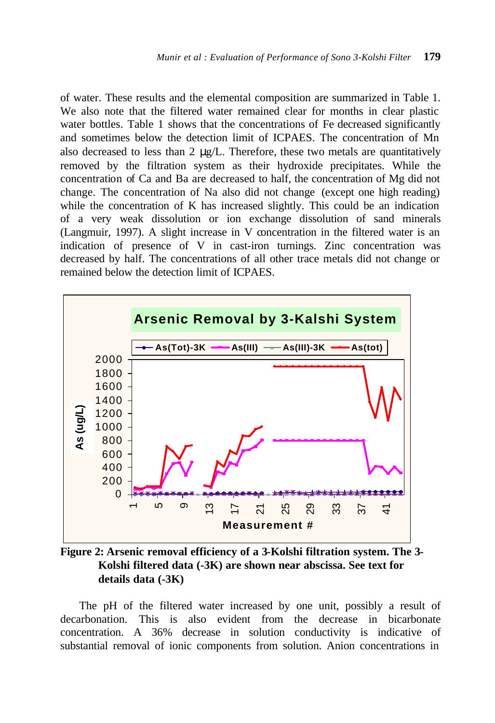of water. These results and the elemental composition are summarized in Table 1. We also note that the filtered water remained clear for months in clear plastic water bottles. Table 1 shows that the concentrations of Fe decreased significantly and sometimes below the detection limit of ICPAES. The concentration of Mn also decreased to less than  $2 \mu g/L$ . Therefore, these two metals are quantitatively removed by the filtration system as their hydroxide precipitates. While the concentration of Ca and Ba are decreased to half, the concentration of Mg did not change. The concentration of Na also did not change (except one high reading) while the concentration of K has increased slightly. This could be an indication of a very weak dissolution or ion exchange dissolution of sand minerals (Langmuir, 1997). A slight increase in V concentration in the filtered water is an indication of presence of V in cast-iron turnings. Zinc concentration was decreased by half. The concentrations of all other trace metals did not change or remained below the detection limit of ICPAES.



**Figure 2: Arsenic removal efficiency of a 3-Kolshi filtration system. The 3- Kolshi filtered data (-3K) are shown near abscissa. See text for details data (-3K)**

The pH of the filtered water increased by one unit, possibly a result of decarbonation. This is also evident from the decrease in bicarbonate concentration. A 36% decrease in solution conductivity is indicative of substantial removal of ionic components from solution. Anion concentrations in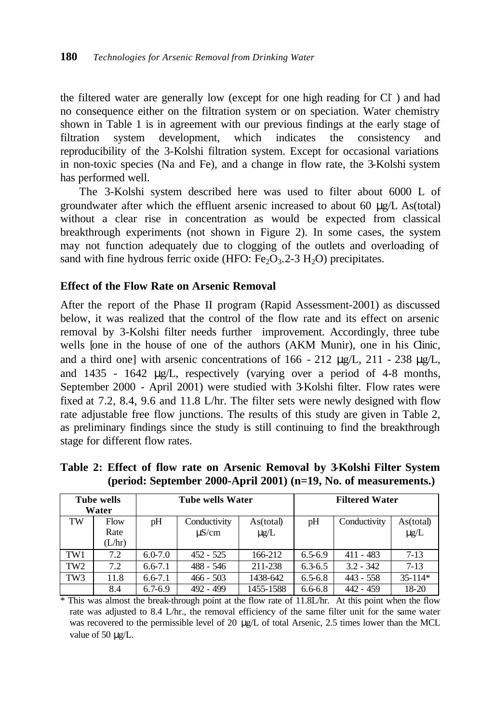the filtered water are generally low (except for one high reading for CI) and had no consequence either on the filtration system or on speciation. Water chemistry shown in Table 1 is in agreement with our previous findings at the early stage of filtration system development, which indicates the consistency and reproducibility of the 3-Kolshi filtration system. Except for occasional variations in non-toxic species (Na and Fe), and a change in flow rate, the 3-Kolshi system has performed well.

The 3-Kolshi system described here was used to filter about 6000 L of groundwater after which the effluent arsenic increased to about 60 μg/L As(total) without a clear rise in concentration as would be expected from classical breakthrough experiments (not shown in Figure 2). In some cases, the system may not function adequately due to clogging of the outlets and overloading of sand with fine hydrous ferric oxide (HFO:  $Fe<sub>2</sub>O<sub>3</sub>$ .2-3 H<sub>2</sub>O) precipitates.

## **Effect of the Flow Rate on Arsenic Removal**

After the report of the Phase II program (Rapid Assessment-2001) as discussed below, it was realized that the control of the flow rate and its effect on arsenic removal by 3-Kolshi filter needs further improvement. Accordingly, three tube wells [one in the house of one of the authors (AKM Munir), one in his Clinic, and a third one] with arsenic concentrations of  $166 - 212 \text{ µg/L}$ ,  $211 - 238 \text{ µg/L}$ , and 1435 - 1642 μg/L, respectively (varying over a period of 4-8 months, September 2000 - April 2001) were studied with 3-Kolshi filter. Flow rates were fixed at 7.2, 8.4, 9.6 and 11.8 L/hr. The filter sets were newly designed with flow rate adjustable free flow junctions. The results of this study are given in Table 2, as preliminary findings since the study is still continuing to find the breakthrough stage for different flow rates.

|                 | <b>Tube wells</b><br>Water |             | Tube wells Water           |                        |             | <b>Filtered Water</b> |                         |
|-----------------|----------------------------|-------------|----------------------------|------------------------|-------------|-----------------------|-------------------------|
| TW              | Flow<br>Rate<br>(L/hr)     | pH          | Conductivity<br>$\mu$ S/cm | As(total)<br>$\mu$ g/L | pH          | Conductivity          | As (total)<br>$\mu g/L$ |
| TW1             | 7.2                        | $6.0 - 7.0$ | $452 - 525$                | 166-212                | $6.5 - 6.9$ | $411 - 483$           | $7 - 13$                |
| TW <sub>2</sub> | 7.2                        | $6.6 - 7.1$ | 488 - 546                  | 211-238                | $6.3 - 6.5$ | $3.2 - 342$           | $7 - 13$                |
| TW <sub>3</sub> | 11.8                       | $6.6 - 7.1$ | $466 - 503$                | 1438-642               | $6.5 - 6.8$ | $443 - 558$           | $35 - 114*$             |
|                 | 8.4                        | $6.7 - 6.9$ | 492 - 499                  | 1455-1588              | $6.6 - 6.8$ | 442 - 459             | 18-20                   |

**Table 2: Effect of flow rate on Arsenic Removal by 3-Kolshi Filter System (period: September 2000-April 2001) (n=19, No. of measurements.)**

\* This was almost the break-through point at the flow rate of 11.8L/hr. At this point when the flow rate was adjusted to 8.4 L/hr., the removal efficiency of the same filter unit for the same water was recovered to the permissible level of 20 μg/L of total Arsenic, 2.5 times lower than the MCL value of 50 μg/L.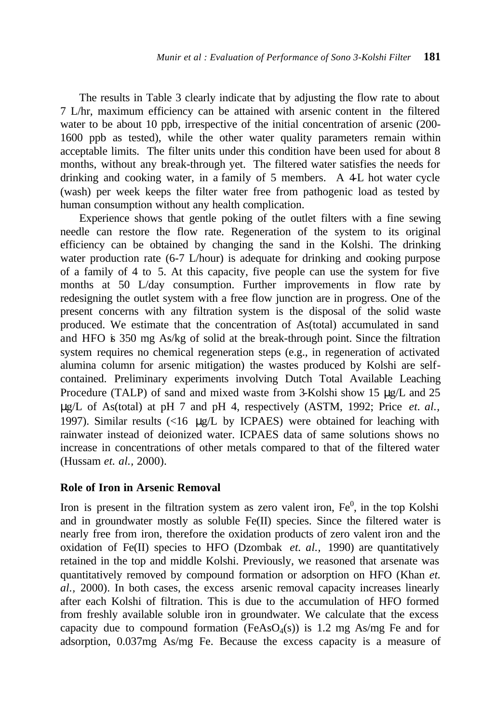The results in Table 3 clearly indicate that by adjusting the flow rate to about 7 L/hr, maximum efficiency can be attained with arsenic content in the filtered water to be about 10 ppb, irrespective of the initial concentration of arsenic (200- 1600 ppb as tested), while the other water quality parameters remain within acceptable limits. The filter units under this condition have been used for about 8 months, without any break-through yet. The filtered water satisfies the needs for drinking and cooking water, in a family of 5 members. A 4L hot water cycle (wash) per week keeps the filter water free from pathogenic load as tested by human consumption without any health complication.

Experience shows that gentle poking of the outlet filters with a fine sewing needle can restore the flow rate. Regeneration of the system to its original efficiency can be obtained by changing the sand in the Kolshi. The drinking water production rate (6-7 L/hour) is adequate for drinking and cooking purpose of a family of 4 to 5. At this capacity, five people can use the system for five months at 50 L/day consumption. Further improvements in flow rate by redesigning the outlet system with a free flow junction are in progress. One of the present concerns with any filtration system is the disposal of the solid waste produced. We estimate that the concentration of As(total) accumulated in sand and HFO is  $350 \text{ mg}$  As/kg of solid at the break-through point. Since the filtration system requires no chemical regeneration steps (e.g., in regeneration of activated alumina column for arsenic mitigation) the wastes produced by Kolshi are selfcontained. Preliminary experiments involving Dutch Total Available Leaching Procedure (TALP) of sand and mixed waste from 3-Kolshi show 15 μg/L and 25 μg/L of As(total) at pH 7 and pH 4, respectively (ASTM, 1992; Price *et. al.,*  1997). Similar results (<16 μg/L by ICPAES) were obtained for leaching with rainwater instead of deionized water. ICPAES data of same solutions shows no increase in concentrations of other metals compared to that of the filtered water (Hussam *et. al.,* 2000).

#### **Role of Iron in Arsenic Removal**

Iron is present in the filtration system as zero valent iron,  $Fe<sup>0</sup>$ , in the top Kolshi and in groundwater mostly as soluble Fe(II) species. Since the filtered water is nearly free from iron, therefore the oxidation products of zero valent iron and the oxidation of Fe(II) species to HFO (Dzombak *et. al.,* 1990) are quantitatively retained in the top and middle Kolshi. Previously, we reasoned that arsenate was quantitatively removed by compound formation or adsorption on HFO (Khan *et. al.,* 2000). In both cases, the excess arsenic removal capacity increases linearly after each Kolshi of filtration. This is due to the accumulation of HFO formed from freshly available soluble iron in groundwater. We calculate that the excess capacity due to compound formation (FeAs $O_4(s)$ ) is 1.2 mg As/mg Fe and for adsorption, 0.037mg As/mg Fe. Because the excess capacity is a measure of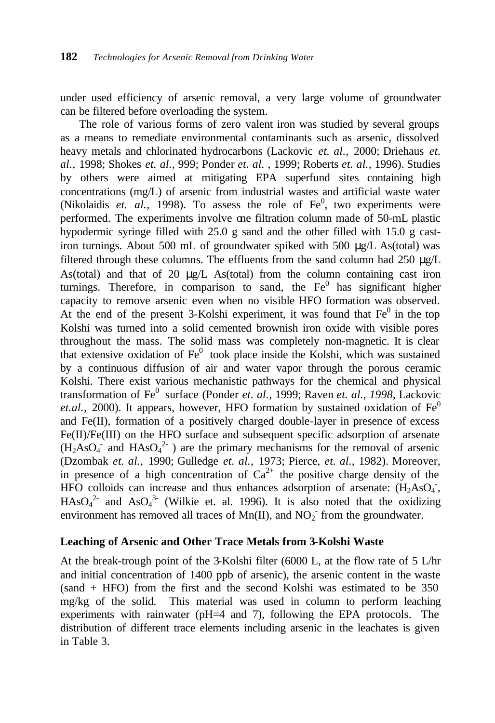under used efficiency of arsenic removal, a very large volume of groundwater can be filtered before overloading the system.

The role of various forms of zero valent iron was studied by several groups as a means to remediate environmental contaminants such as arsenic, dissolved heavy metals and chlorinated hydrocarbons (Lackovic *et. al.,* 2000; Driehaus *et. al.,* 1998; Shokes *et. al.,* 999; Ponder *et. al. ,* 1999; Roberts *et. al.,* 1996). Studies by others were aimed at mitigating EPA superfund sites containing high concentrations (mg/L) of arsenic from industrial wastes and artificial waste water (Nikolaidis  $et.$   $al.,$  1998). To assess the role of  $Fe<sup>0</sup>,$  two experiments were performed. The experiments involve one filtration column made of 50-mL plastic hypodermic syringe filled with 25.0 g sand and the other filled with 15.0 g castiron turnings. About 500 mL of groundwater spiked with 500 μg/L As(total) was filtered through these columns. The effluents from the sand column had 250  $\mu$ g/L As(total) and that of 20 μg/L As(total) from the column containing cast iron turnings. Therefore, in comparison to sand, the  $Fe<sup>0</sup>$  has significant higher capacity to remove arsenic even when no visible HFO formation was observed. At the end of the present  $3$ -Kolshi experiment, it was found that  $Fe<sup>0</sup>$  in the top Kolshi was turned into a solid cemented brownish iron oxide with visible pores throughout the mass. The solid mass was completely non-magnetic. It is clear that extensive oxidation of  $Fe<sup>0</sup>$  took place inside the Kolshi, which was sustained by a continuous diffusion of air and water vapor through the porous ceramic Kolshi. There exist various mechanistic pathways for the chemical and physical transformation of Fe<sup>0</sup> surface (Ponder *et. al., 1999; Raven <i>et. al., 1998, Lackovic et.al.,* 2000). It appears, however, HFO formation by sustained oxidation of  $Fe<sup>0</sup>$ and Fe(II), formation of a positively charged double-layer in presence of excess Fe(II)/Fe(III) on the HFO surface and subsequent specific adsorption of arsenate  $(H_2AsO_4^{\text{-}}$  and  $HAsO_4^{\text{-}}$  ) are the primary mechanisms for the removal of arsenic (Dzombak *et. al.,* 1990; Gulledge *et. al.,* 1973; Pierce, *et. al.,* 1982). Moreover, in presence of a high concentration of  $Ca^{2+}$  the positive charge density of the HFO colloids can increase and thus enhances adsorption of arsenate:  $(H_2AsO<sub>4</sub>)$ ,  $HAsO<sub>4</sub><sup>2-</sup>$  and As $O<sub>4</sub><sup>3-</sup>$  (Wilkie et. al. 1996). It is also noted that the oxidizing environment has removed all traces of  $Mn(II)$ , and  $NO<sub>2</sub>$ <sup>-</sup> from the groundwater.

## **Leaching of Arsenic and Other Trace Metals from 3-Kolshi Waste**

At the break-trough point of the 3-Kolshi filter (6000 L, at the flow rate of 5 L/hr and initial concentration of 1400 ppb of arsenic), the arsenic content in the waste (sand + HFO) from the first and the second Kolshi was estimated to be 350 mg/kg of the solid. This material was used in column to perform leaching experiments with rainwater (pH=4 and 7), following the EPA protocols. The distribution of different trace elements including arsenic in the leachates is given in Table 3.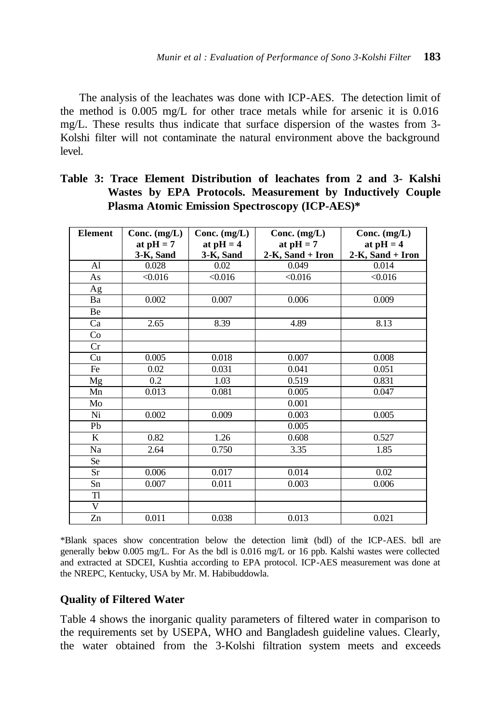The analysis of the leachates was done with ICP-AES. The detection limit of the method is 0.005 mg/L for other trace metals while for arsenic it is 0.016 mg/L. These results thus indicate that surface dispersion of the wastes from 3- Kolshi filter will not contaminate the natural environment above the background level.

| <b>Element</b> | Conc. $(mg/L)$ | Conc. $(mg/L)$ | Conc. $(mg/L)$   | Conc. $(mg/L)$   |
|----------------|----------------|----------------|------------------|------------------|
|                | at $pH = 7$    | at $pH = 4$    | at $pH = 7$      | at $pH = 4$      |
|                | 3-K, Sand      | 3-K, Sand      | 2-K, Sand + Iron | 2-K, Sand + Iron |
| AI             | 0.028          | 0.02           | 0.049            | 0.014            |
| As             | < 0.016        | < 0.016        | < 0.016          | < 0.016          |
| Ag             |                |                |                  |                  |
| Ba             | 0.002          | 0.007          | 0.006            | 0.009            |
| Be             |                |                |                  |                  |
| Ca             | 2.65           | 8.39           | 4.89             | 8.13             |
| Co             |                |                |                  |                  |
| Cr             |                |                |                  |                  |
| Cu             | 0.005          | 0.018          | 0.007            | 0.008            |
| Fe             | 0.02           | 0.031          | 0.041            | 0.051            |
| Mg             | 0.2            | 1.03           | 0.519            | 0.831            |
| Mn             | 0.013          | 0.081          | 0.005            | 0.047            |
| Mo             |                |                | 0.001            |                  |
| Ni             | 0.002          | 0.009          | 0.003            | 0.005            |
| Pb             |                |                | 0.005            |                  |
| K              | 0.82           | 1.26           | 0.608            | 0.527            |
| Na             | 2.64           | 0.750          | 3.35             | 1.85             |
| <b>Se</b>      |                |                |                  |                  |
| <b>Sr</b>      | 0.006          | 0.017          | 0.014            | 0.02             |
| Sn             | 0.007          | 0.011          | 0.003            | 0.006            |
| Tl             |                |                |                  |                  |
| V              |                |                |                  |                  |
| Zn             | 0.011          | 0.038          | 0.013            | 0.021            |

**Table 3: Trace Element Distribution of leachates from 2 and 3- Kalshi Wastes by EPA Protocols. Measurement by Inductively Couple Plasma Atomic Emission Spectroscopy (ICP-AES)\***

\*Blank spaces show concentration below the detection limit (bdl) of the ICP-AES. bdl are generally below 0.005 mg/L. For As the bdl is 0.016 mg/L or 16 ppb. Kalshi wastes were collected and extracted at SDCEI, Kushtia according to EPA protocol. ICP-AES measurement was done at the NREPC, Kentucky, USA by Mr. M. Habibuddowla.

# **Quality of Filtered Water**

Table 4 shows the inorganic quality parameters of filtered water in comparison to the requirements set by USEPA, WHO and Bangladesh guideline values. Clearly, the water obtained from the 3-Kolshi filtration system meets and exceeds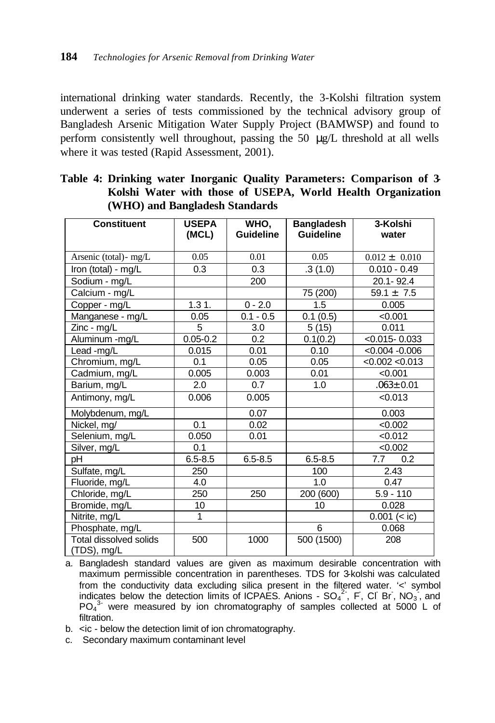international drinking water standards. Recently, the 3-Kolshi filtration system underwent a series of tests commissioned by the technical advisory group of Bangladesh Arsenic Mitigation Water Supply Project (BAMWSP) and found to perform consistently well throughout, passing the 50 μg/L threshold at all wells where it was tested (Rapid Assessment, 2001).

| <b>Constituent</b>                    | <b>USEPA</b><br>(MCL) | WHO,<br><b>Guideline</b> | <b>Bangladesh</b><br><b>Guideline</b> | 3-Kolshi<br>water |
|---------------------------------------|-----------------------|--------------------------|---------------------------------------|-------------------|
|                                       |                       |                          |                                       |                   |
| Arsenic (total) - mg/L                | 0.05                  | 0.01                     | 0.05                                  | $0.012 \pm 0.010$ |
| Iron (total) - mg/L                   | 0.3                   | 0.3                      | .3(1.0)                               | $0.010 - 0.49$    |
| Sodium - mg/L                         |                       | 200                      |                                       | 20.1-92.4         |
| Calcium - mg/L                        |                       |                          | 75 (200)                              | $59.1 \pm 7.5$    |
| Copper - mg/L                         | 1.31.                 | $0 - 2.0$                | 1.5                                   | 0.005             |
| Manganese - mg/L                      | 0.05                  | $0.1 - 0.5$              | 0.1(0.5)                              | < 0.001           |
| Zinc - mg/L                           | 5                     | 3.0                      | 5(15)                                 | 0.011             |
| Aluminum -mg/L                        | $0.05 - 0.2$          | 0.2                      | 0.1(0.2)                              | $< 0.015 - 0.033$ |
| Lead-mg/L                             | 0.015                 | 0.01                     | 0.10                                  | $< 0.004 - 0.006$ |
| Chromium, mg/L                        | 0.1                   | 0.05                     | 0.05                                  | < 0.002 < 0.013   |
| Cadmium, mg/L                         | 0.005                 | 0.003                    | 0.01                                  | < 0.001           |
| Barium, mg/L                          | 2.0                   | 0.7                      | 1.0                                   | $.063 \pm 0.01$   |
| Antimony, mg/L                        | 0.006                 | 0.005                    |                                       | < 0.013           |
| Molybdenum, mg/L                      |                       | 0.07                     |                                       | 0.003             |
| Nickel, mg/                           | 0.1                   | 0.02                     |                                       | < 0.002           |
| Selenium, mg/L                        | 0.050                 | 0.01                     |                                       | < 0.012           |
| Silver, mg/L                          | 0.1                   |                          |                                       | < 0.002           |
| рH                                    | $6.5 - 8.5$           | $6.5 - 8.5$              | $6.5 - 8.5$                           | 7.7<br>0.2        |
| Sulfate, mg/L                         | 250                   |                          | 100                                   | 2.43              |
| Fluoride, mg/L                        | 4.0                   |                          | 1.0                                   | 0.47              |
| Chloride, mg/L                        | 250                   | 250                      | 200 (600)                             | $5.9 - 110$       |
| Bromide, mg/L                         | 10                    |                          | 10                                    | 0.028             |
| Nitrite, mg/L                         | 1                     |                          |                                       | $0.001 (=$ ic)    |
| Phosphate, mg/L                       |                       |                          | 6                                     | 0.068             |
| Total dissolved solids<br>(TDS), mg/L | 500                   | 1000                     | 500 (1500)                            | 208               |

**Table 4: Drinking water Inorganic Quality Parameters: Comparison of 3- Kolshi Water with those of USEPA, World Health Organization (WHO) and Bangladesh Standards**

- a. Bangladesh standard values are given as maximum desirable concentration with maximum permissible concentration in parentheses. TDS for 3-kolshi was calculated from the conductivity data excluding silica present in the filtered water. '<' symbol indicates below the detection limits of ICPAES. Anions -  $SO_4^2$ , F, CI Br, NO<sub>3</sub>, and  $PO<sub>4</sub><sup>3</sup>$  were measured by ion chromatography of samples collected at 5000 L of filtration.
- b. <ic below the detection limit of ion chromatography.
- c. Secondary maximum contaminant level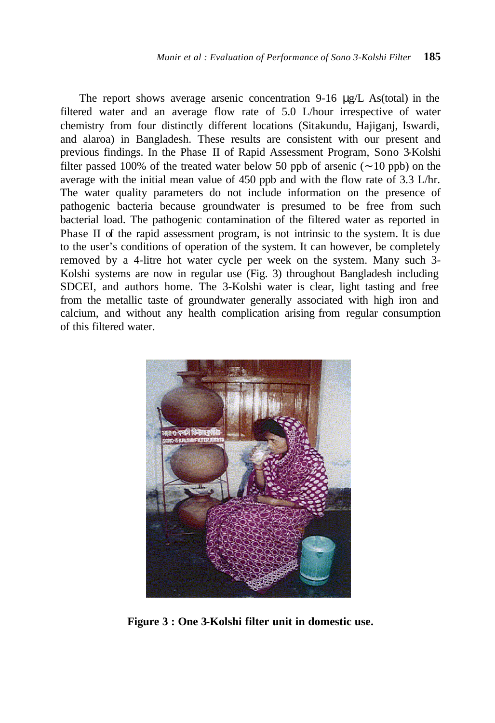The report shows average arsenic concentration 9-16 μg/L As(total) in the filtered water and an average flow rate of 5.0 L/hour irrespective of water chemistry from four distinctly different locations (Sitakundu, Hajiganj, Iswardi, and alaroa) in Bangladesh. These results are consistent with our present and previous findings. In the Phase II of Rapid Assessment Program, Sono 3-Kolshi filter passed 100% of the treated water below 50 ppb of arsenic (∼ 10 ppb) on the average with the initial mean value of 450 ppb and with the flow rate of 3.3 L/hr. The water quality parameters do not include information on the presence of pathogenic bacteria because groundwater is presumed to be free from such bacterial load. The pathogenic contamination of the filtered water as reported in Phase II of the rapid assessment program, is not intrinsic to the system. It is due to the user's conditions of operation of the system. It can however, be completely removed by a 4-litre hot water cycle per week on the system. Many such 3- Kolshi systems are now in regular use (Fig. 3) throughout Bangladesh including SDCEI, and authors home. The 3-Kolshi water is clear, light tasting and free from the metallic taste of groundwater generally associated with high iron and calcium, and without any health complication arising from regular consumption of this filtered water.



**Figure 3 : One 3-Kolshi filter unit in domestic use.**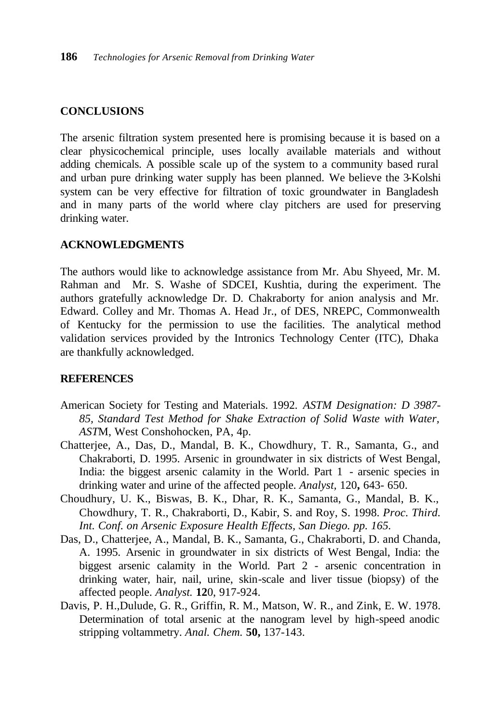## **CONCLUSIONS**

The arsenic filtration system presented here is promising because it is based on a clear physicochemical principle, uses locally available materials and without adding chemicals. A possible scale up of the system to a community based rural and urban pure drinking water supply has been planned. We believe the 3-Kolshi system can be very effective for filtration of toxic groundwater in Bangladesh and in many parts of the world where clay pitchers are used for preserving drinking water.

## **ACKNOWLEDGMENTS**

The authors would like to acknowledge assistance from Mr. Abu Shyeed, Mr. M. Rahman and Mr. S. Washe of SDCEI, Kushtia, during the experiment. The authors gratefully acknowledge Dr. D. Chakraborty for anion analysis and Mr. Edward. Colley and Mr. Thomas A. Head Jr., of DES, NREPC, Commonwealth of Kentucky for the permission to use the facilities. The analytical method validation services provided by the Intronics Technology Center (ITC), Dhaka are thankfully acknowledged.

## **REFERENCES**

- American Society for Testing and Materials. 1992. *ASTM Designation: D 3987- 85, Standard Test Method for Shake Extraction of Solid Waste with Water, AST*M, West Conshohocken, PA, 4p.
- Chatterjee, A., Das, D., Mandal, B. K., Chowdhury, T. R., Samanta, G., and Chakraborti, D. 1995. Arsenic in groundwater in six districts of West Bengal, India: the biggest arsenic calamity in the World. Part 1 - arsenic species in drinking water and urine of the affected people. *Analyst,* 120**,** 643- 650.
- Choudhury, U. K., Biswas, B. K., Dhar, R. K., Samanta, G., Mandal, B. K., Chowdhury, T. R., Chakraborti, D., Kabir, S. and Roy, S. 1998. *Proc. Third. Int. Conf. on Arsenic Exposure Health Effects, San Diego. pp. 165.*
- Das, D., Chatterjee, A., Mandal, B. K., Samanta, G., Chakraborti, D. and Chanda, A. 1995. Arsenic in groundwater in six districts of West Bengal, India: the biggest arsenic calamity in the World. Part 2 - arsenic concentration in drinking water, hair, nail, urine, skin-scale and liver tissue (biopsy) of the affected people. *Analyst.* **12**0, 917-924.
- Davis, P. H.,Dulude, G. R., Griffin, R. M., Matson, W. R., and Zink, E. W. 1978. Determination of total arsenic at the nanogram level by high-speed anodic stripping voltammetry. *Anal. Chem.* **50,** 137-143.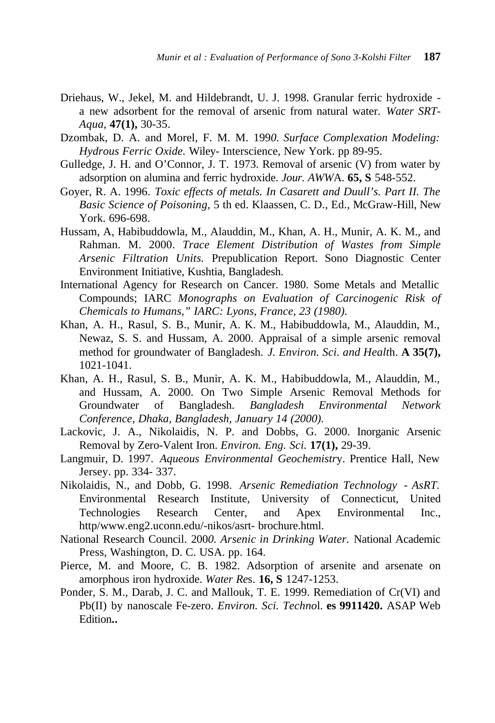- Driehaus, W., Jekel, M. and Hildebrandt, U. J. 1998. Granular ferric hydroxide a new adsorbent for the removal of arsenic from natural water. *Water SRT-Aqua,* **47(1),** 30-35.
- Dzombak, D. A. and Morel, F. M. M. 199*0. Surface Complexation Modeling: Hydrous Ferric Oxide.* Wiley- Interscience, New York. pp 89-95.
- Gulledge, J. H. and O'Connor, J. T. 1973. Removal of arsenic (V) from water by adsorption on alumina and ferric hydroxide. *Jour. AWW*A. **65, S** 548-552.
- Goyer, R. A. 1996. *Toxic effects of metals. In Casarett and Duull's. Part II. The Basic Science of Poisoning,* 5 th ed. Klaassen, C. D., Ed., McGraw-Hill, New York. 696-698.
- Hussam, A, Habibuddowla, M., Alauddin, M., Khan, A. H., Munir, A. K. M., and Rahman. M. 2000. *Trace Element Distribution of Wastes from Simple Arsenic Filtration Units.* Prepublication Report. Sono Diagnostic Center Environment Initiative, Kushtia, Bangladesh.
- International Agency for Research on Cancer. 1980. Some Metals and Metallic Compounds; IARC *Monographs on Evaluation of Carcinogenic Risk of Chemicals to Humans," IARC: Lyons, France, 23 (1980).*
- Khan, A. H., Rasul, S. B., Munir, A. K. M., Habibuddowla, M., Alauddin, M., Newaz, S. S. and Hussam, A. 2000. Appraisal of a simple arsenic removal method for groundwater of Bangladesh. *J. Environ. Sci. and Healt*h. **A 35(7),**  1021-1041.
- Khan, A. H., Rasul, S. B., Munir, A. K. M., Habibuddowla, M., Alauddin, M., and Hussam, A. 2000. On Two Simple Arsenic Removal Methods for Groundwater of Bangladesh. *Bangladesh Environmental Network Conference, Dhaka, Bangladesh, January 14 (2000).*
- Lackovic, J. A., Nikolaidis, N. P. and Dobbs, G. 2000. Inorganic Arsenic Removal by Zero-Valent Iron. *Environ. Eng. Sci.* **17(1),** 29-39.
- Langmuir, D. 1997. *Aqueous Environmental Geochemistr*y. Prentice Hall, New Jersey. pp. 334- 337.
- Nikolaidis, N., and Dobb, G. 1998. *Arsenic Remediation Technology AsRT.*  Environmental Research Institute, University of Connecticut, United Technologies Research Center, and Apex Environmental Inc., http/www.eng2.uconn.edu/-nikos/asrt- brochure.html.
- National Research Council. 200*0. Arsenic in Drinking Water.* National Academic Press, Washington, D. C. USA. pp. 164.
- Pierce, M. and Moore, C. B. 1982. Adsorption of arsenite and arsenate on amorphous iron hydroxide. *Water Re*s. **16, S** 1247-1253.
- Ponder, S. M., Darab, J. C. and Mallouk, T. E. 1999. Remediation of Cr(VI) and Pb(II) by nanoscale Fe-zero. *Environ. Sci. Techno*l. **es 9911420.** ASAP Web Edition**..**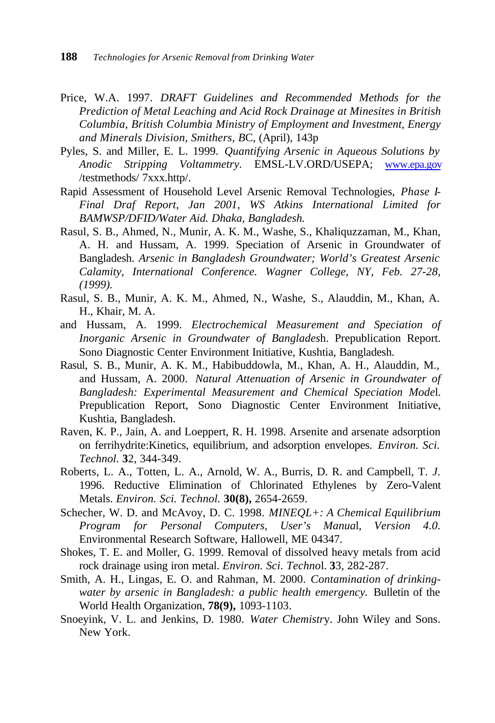- Price, W.A. 1997. *DRAFT Guidelines and Recommended Methods for the Prediction of Metal Leaching and Acid Rock Drainage at Minesites in British Columbia, British Columbia Ministry of Employment and Investment, Energy and Minerals Division, Smithers, B*C, (April), 143p
- Pyles, S. and Miller, E. L. 1999. *Quantifying Arsenic in Aqueous Solutions by Anodic Stripping Voltammetry.* EMSL-LV.ORD/USEPA; www.epa.gov /testmethods/ 7xxx.http/.
- Rapid Assessment of Household Level Arsenic Removal Technologies, *Phase I-Final Draf Report, Jan 2001, WS Atkins International Limited for BAMWSP/DFID/Water Aid. Dhaka, Bangladesh.*
- Rasul, S. B., Ahmed, N., Munir, A. K. M., Washe, S., Khaliquzzaman, M., Khan, A. H. and Hussam, A. 1999. Speciation of Arsenic in Groundwater of Bangladesh. *Arsenic in Bangladesh Groundwater; World's Greatest Arsenic Calamity, International Conference. Wagner College, NY, Feb. 27-28, (1999).*
- Rasul, S. B., Munir, A. K. M., Ahmed, N., Washe, S., Alauddin, M., Khan, A. H., Khair, M. A.
- and Hussam, A. 1999. *Electrochemical Measurement and Speciation of Inorganic Arsenic in Groundwater of Banglades*h. Prepublication Report. Sono Diagnostic Center Environment Initiative, Kushtia, Bangladesh.
- Rasul, S. B., Munir, A. K. M., Habibuddowla, M., Khan, A. H., Alauddin, M., and Hussam, A. 2000. *Natural Attenuation of Arsenic in Groundwater of Bangladesh: Experimental Measurement and Chemical Speciation Mode*l. Prepublication Report, Sono Diagnostic Center Environment Initiative, Kushtia, Bangladesh.
- Raven, K. P., Jain, A. and Loeppert, R. H. 1998. Arsenite and arsenate adsorption on ferrihydrite:Kinetics, equilibrium, and adsorption envelopes. *Environ. Sci. Technol.* **3**2, 344-349.
- Roberts, L. A., Totten, L. A., Arnold, W. A., Burris, D. R. and Campbell, T. *J.*  1996. Reductive Elimination of Chlorinated Ethylenes by Zero-Valent Metals. *Environ. Sci. Technol.* **30(8),** 2654-2659.
- Schecher, W. D. and McAvoy, D. C. 1998. *MINEQL+: A Chemical Equilibrium Program for Personal Computers, User's Manua*l, *Version 4.0.* Environmental Research Software, Hallowell, ME 04347.
- Shokes, T. E. and Moller, G. 1999. Removal of dissolved heavy metals from acid rock drainage using iron metal. *Environ. Sci. Techno*l. **3**3, 282-287.
- Smith, A. H., Lingas, E. O. and Rahman, M. 2000. *Contamination of drinkingwater by arsenic in Bangladesh: a public health emergency.* Bulletin of the World Health Organization, **78(9),** 1093-1103.
- Snoeyink, V. L. and Jenkins, D. 1980. *Water Chemistr*y. John Wiley and Sons. New York.